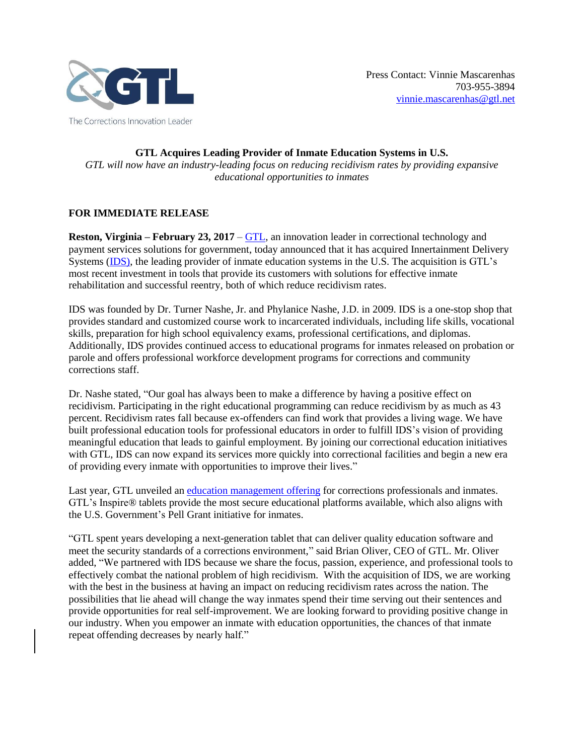

**GTL Acquires Leading Provider of Inmate Education Systems in U.S.** *GTL will now have an industry-leading focus on reducing recidivism rates by providing expansive educational opportunities to inmates*

## **FOR IMMEDIATE RELEASE**

**Reston, Virginia – February 23, 2017** – [GTL,](http://www.gtl.net/) an innovation leader in correctional technology and payment services solutions for government, today announced that it has acquired Innertainment Delivery Systems [\(IDS\)](https://www.ids615.com/), the leading provider of inmate education systems in the U.S. The acquisition is GTL's most recent investment in tools that provide its customers with solutions for effective inmate rehabilitation and successful reentry, both of which reduce recidivism rates.

IDS was founded by Dr. Turner Nashe, Jr. and Phylanice Nashe, J.D. in 2009. IDS is a one-stop shop that provides standard and customized course work to incarcerated individuals, including life skills, vocational skills, preparation for high school equivalency exams, professional certifications, and diplomas. Additionally, IDS provides continued access to educational programs for inmates released on probation or parole and offers professional workforce development programs for corrections and community corrections staff.

Dr. Nashe stated, "Our goal has always been to make a difference by having a positive effect on recidivism. Participating in the right educational programming can reduce recidivism by as much as 43 percent. Recidivism rates fall because ex-offenders can find work that provides a living wage. We have built professional education tools for professional educators in order to fulfill IDS's vision of providing meaningful education that leads to gainful employment. By joining our correctional education initiatives with GTL, IDS can now expand its services more quickly into correctional facilities and begin a new era of providing every inmate with opportunities to improve their lives."

Last year, GTL unveiled an [education management offering](http://www.gtl.net/gtl-unveils-education-management-offering-for-corrections-professionals-and-inmates/) for corrections professionals and inmates. GTL's Inspire® tablets provide the most secure educational platforms available, which also aligns with the U.S. Government's Pell Grant initiative for inmates.

"GTL spent years developing a next-generation tablet that can deliver quality education software and meet the security standards of a corrections environment," said Brian Oliver, CEO of GTL. Mr. Oliver added, "We partnered with IDS because we share the focus, passion, experience, and professional tools to effectively combat the national problem of high recidivism. With the acquisition of IDS, we are working with the best in the business at having an impact on reducing recidivism rates across the nation. The possibilities that lie ahead will change the way inmates spend their time serving out their sentences and provide opportunities for real self-improvement. We are looking forward to providing positive change in our industry. When you empower an inmate with education opportunities, the chances of that inmate repeat offending decreases by nearly half."